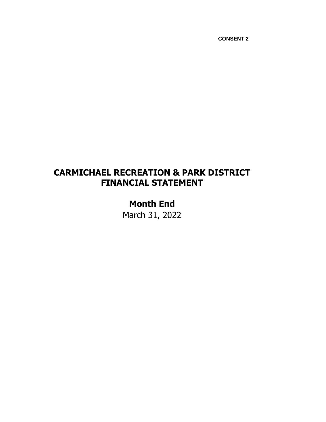## **CARMICHAEL RECREATION & PARK DISTRICT FINANCIAL STATEMENT**

# **Month End** March 31, 2022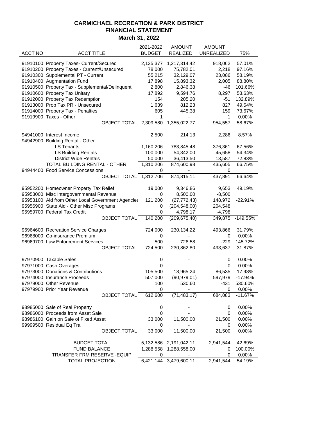| March 31, 2022 |  |  |
|----------------|--|--|
|----------------|--|--|

|         |                                                   | 2021-2022     | <b>AMOUNT</b>                | <b>AMOUNT</b>     |            |
|---------|---------------------------------------------------|---------------|------------------------------|-------------------|------------|
| ACCT NO | <b>ACCT TITLE</b>                                 | <b>BUDGET</b> | <b>REALIZED</b>              | <b>UNREALIZED</b> | 75%        |
|         |                                                   |               |                              |                   |            |
|         | 91910100 Property Taxes- Current/Secured          | 2,135,377     | 1,217,314.42                 | 918,062           | 57.01%     |
|         | 91910200 Property Taxes - Current/Unsecured       | 78,000        | 75,782.01                    | 2,218             | 97.16%     |
|         | 91910300 Supplemental PT - Current                | 55,215        | 32,129.07                    | 23,086            | 58.19%     |
|         | 91910400 Augmentation Fund                        | 17,898        | 15,893.32                    | 2,005             | 88.80%     |
|         | 91910500 Property Tax - Supplemental/Delinquent   | 2,800         | 2,846.38                     | -46               | 101.66%    |
|         | 91910600 Property Tax Unitary                     | 17,892        | 9,594.76                     | 8,297             | 53.63%     |
|         | 91912000 Property Tax Redemption                  | 154           | 205.20                       | $-51$             | 132.89%    |
|         | 91913000 Prop Tax PR - Unsecured                  | 1,639         | 812.23                       | 827               | 49.54%     |
|         | 91914000 Property Tax - Penalties                 | 605           | 445.38                       | 159               | 73.67%     |
|         | 91919900 Taxes - Other                            | 1             | $\qquad \qquad \blacksquare$ | 1                 | 0.00%      |
|         | OBJECT TOTAL 2,309,580                            |               | 1,355,022.77                 | 954,557           | 58.67%     |
|         |                                                   |               |                              |                   |            |
|         | 94941000 Interest Income                          | 2,500         | 214.13                       | 2,286             | 8.57%      |
|         | 94942900 Building Rental - Other                  |               |                              |                   |            |
|         | <b>LS Tenants</b>                                 | 1,160,206     | 783,845.48                   | 376,361           | 67.56%     |
|         | <b>LS Building Rentals</b>                        | 100,000       | 54,342.00                    | 45,658            | 54.34%     |
|         | <b>District Wide Rentals</b>                      | 50,000        | 36,413.50                    | 13,587            | 72.83%     |
|         | TOTAL BUILDING RENTAL - OTHER                     | 1,310,206     | 874,600.98                   | 435,605           | 66.75%     |
|         | 94944400 Food Service Concessions                 | 0             |                              | 0                 |            |
|         | OBJECT TOTAL 1,312,706                            |               | 874,815.11                   | 437,891           | 66.64%     |
|         |                                                   |               |                              |                   |            |
|         | 95952200 Homeowner Property Tax Relief            | 19,000        | 9,346.86                     | 9,653             | 49.19%     |
|         | 95953000 Misc Intergovernmental Revenue           | 0             | 8,500.00                     | $-8,500$          |            |
|         | 95953100 Aid from Other Local Government Agencies | 121,200       | (27, 772.43)                 | 148,972           | $-22.91%$  |
|         | 95956900 State Aid - Other Misc Programs          | 0             | (204, 548.00)                | 204,548           |            |
|         | 95959700 Federal Tax Credit                       | 0             | 4,798.17                     | $-4,798$          |            |
|         | <b>OBJECT TOTAL</b>                               | 140,200       | (209, 675.40)                | 349,875           | $-149.55%$ |
|         |                                                   |               |                              |                   |            |
|         | 96964600 Recreation Service Charges               | 724,000       | 230,134.22                   | 493,866           | 31.79%     |
|         | 96968000 Co-insurance Premium                     | 0             |                              | 0                 | 0.00%      |
|         | 96969700 Law Enforcement Services                 | 500           | 728.58                       | $-229$            | 145.72%    |
|         | <b>OBJECT TOTAL</b>                               | 724,500       | 230,862.80                   | 493,637           | 31.87%     |
|         | 97970900 Taxable Sales                            | 0             |                              | 0                 | 0.00%      |
|         | 97971000 Cash Overages                            | 0             |                              | 0                 | 0.00%      |
|         | 97973000 Donations & Contributions                | 105,500       | 18,965.24                    | 86,535            | 17.98%     |
|         | 97974000 Insurance Proceeds                       | 507,000       | (90, 979.01)                 | 597,979           | $-17.94%$  |
|         | 97979000 Other Revenue                            | 100           | 530.60                       | -431              | 530.60%    |
|         |                                                   |               |                              |                   | 0.00%      |
|         | 97979900 Prior Year Revenue                       | 0             | (71, 483.17)                 | 0<br>684,083      | $-11.67%$  |
|         | <b>OBJECT TOTAL</b>                               | 612,600       |                              |                   |            |
|         | 98985000 Sale of Real Property                    | 0             |                              | 0                 | 0.00%      |
|         | 98986000 Proceeds from Asset Sale                 | 0             |                              | 0                 | 0.00%      |
|         | 98986100 Gain on Sale of Fixed Asset              | 33,000        | 11,500.00                    | 21,500            | 0.00%      |
|         | 99999500 Residual Eq Tra                          | 0             |                              | 0                 | 0.00%      |
|         | OBJECT TOTAL                                      | 33,000        | 11,500.00                    | 21,500            | 0.00%      |
|         |                                                   |               |                              |                   |            |
|         | <b>BUDGET TOTAL</b>                               |               | 5,132,586 2,191,042.11       | 2,941,544         | 42.69%     |
|         | <b>FUND BALANCE</b>                               | 1,288,558     | 1,288,558.00                 | 0                 | 100.00%    |
|         | TRANSFER FRM RESERVE - EQUIP                      | 0             |                              | 0                 | 0.00%      |
|         | <b>TOTAL PROJECTION</b>                           | 6,421,144     | 3,479,600.11                 | 2,941,544         | 54.19%     |
|         |                                                   |               |                              |                   |            |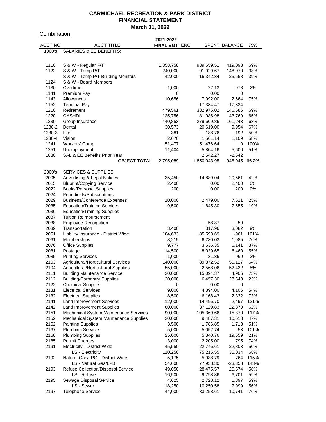**Combination** 

|         |                                        | 2021-2022     |              |                      |      |
|---------|----------------------------------------|---------------|--------------|----------------------|------|
| ACCT NO | <b>ACCT TITLE</b>                      | FINAL BGT ENC |              | <b>SPENT BALANCE</b> | 75%  |
| 1000's  | <b>SALARIES &amp; EE BENEFITS:</b>     |               |              |                      |      |
|         |                                        |               |              |                      |      |
|         |                                        |               |              |                      |      |
| 1110    | S & W - Regular F/T                    | 1,358,758     | 939,659.51   | 419,098              | 69%  |
| 1122    | S & W - Temp P/T                       | 240,000       | 91,929.67    | 148,070              | 38%  |
|         | S & W - Temp P/T Building Monitors     | 42,000        | 16,342.34    | 25,658               | 39%  |
| 1124    | S & W - Board Members                  |               |              |                      |      |
| 1130    | Overtime                               | 1,000         | 22.13        | 978                  | 2%   |
| 1141    | Premium Pay                            | 0             | 0.00         | 0                    |      |
| 1143    | Allowances                             | 10,656        | 7,992.00     | 2,664                | 75%  |
| 1152    | <b>Terminal Pay</b>                    |               | 17,334.47    | $-17,334$            |      |
| 1210    | Retirement                             | 479,561       | 332,975.02   | 146,586              | 69%  |
| 1220    | <b>OASHDI</b>                          | 125,756       | 81,986.98    | 43,769               | 65%  |
| 1230    | Group Insurance                        | 440,853       | 279,609.86   | 161,243              | 63%  |
| 1230-2  | Dental                                 | 30,573        |              | 9,954                | 67%  |
|         |                                        |               | 20,619.00    |                      |      |
| 1230-3  | Life                                   | 381           | 188.76       | 192                  | 50%  |
| 1230-4  | Vision                                 | 2,670         | 1,561.14     | 1,109                | 58%  |
| 1241    | Workers' Comp                          | 51,477        | 51,476.64    | 0                    | 100% |
| 1251    | Unemployment                           | 11,404        | 5,804.16     | 5,600                | 51%  |
| 1880    | SAL & EE Benefits Prior Year           |               | 2,542.27     | $-2,542$             |      |
|         | <b>OBJECT TOTAL</b>                    | 2,795,089     | 1,850,043.95 | 945,045 66.2%        |      |
|         |                                        |               |              |                      |      |
| 2000's  | <b>SERVICES &amp; SUPPLIES</b>         |               |              |                      |      |
| 2005    | <b>Advertising &amp; Legal Notices</b> | 35,450        | 14,889.04    | 20,561               | 42%  |
| 2015    | <b>Bluprint/Copying Service</b>        | 2,400         | 0.00         | 2,400                | 0%   |
| 2022    | <b>Books/Personal Supplies</b>         | 200           | 0.00         | 200                  | 0%   |
| 2024    | Periodicals/Subscriptions              |               |              |                      |      |
|         |                                        |               |              |                      |      |
| 2029    | <b>Business/Conference Expenses</b>    | 10,000        | 2,479.00     | 7,521                | 25%  |
| 2035    | <b>Education/Training Services</b>     | 9,500         | 1,845.30     | 7,655                | 19%  |
| 2036    | <b>Education/Training Supplies</b>     |               |              |                      |      |
| 2037    | <b>Tuition Reimbursement</b>           |               |              |                      |      |
| 2038    | <b>Employee Recognition</b>            |               | 58.87        | -59                  |      |
| 2039    | Transportation                         | 3,400         | 317.96       | 3,082                | 9%   |
| 2051    | Liability Insurance - District Wide    | 184,633       | 185,593.69   | -961                 | 101% |
| 2061    | Memberships                            | 8,215         | 6,230.03     | 1,985                | 76%  |
| 2076    | <b>Office Supplies</b>                 | 9,777         | 3,636.35     | 6,141                | 37%  |
| 2081    | Postage                                | 14,500        | 8,039.65     | 6,460                | 55%  |
| 2085    | <b>Printing Services</b>               | 1,000         | 31.36        | 969                  | 3%   |
| 2103    | Agricultural/Horticultural Services    | 140,000       | 89,872.52    | 50,127               | 64%  |
| 2104    | Agricultural/Horticultural Supplies    | 55,000        | 2,568.06     | 52,432               | 5%   |
| 2111    |                                        |               |              |                      | 75%  |
|         | <b>Building Maintenance Service</b>    | 20,000        | 15,094.37    | 4,906                |      |
| 2112    | <b>Building/Carpentry Supplies</b>     | 30,000        | 6,457.30     | 23,543               | 22%  |
| 2122    | <b>Chemical Supplies</b>               | 0             | 0.00         | 0                    |      |
| 2131    | <b>Electrical Services</b>             | 9,000         | 4,894.00     | 4,106                | 54%  |
| 2132    | <b>Electrical Supplies</b>             | 8,500         | 6,168.43     | 2,332                | 73%  |
| 2141    | <b>Land Improvement Services</b>       | 12,000        | 14,496.70    | $-2,497$             | 121% |
| 2142    | Land Improvement Supplies              | 60,000        | 37,129.83    | 22,870               | 62%  |
| 2151    | Mechanical System Maintenance Services | 90,000        | 105,369.66   | $-15,370$            | 117% |
| 2152    | Mechanical System Maintenance Supplies | 20,000        | 9,487.31     | 10,513               | 47%  |
| 2162    | <b>Painting Supplies</b>               | 3,500         | 1,786.85     | 1,713                | 51%  |
| 2167    | <b>Plumbing Services</b>               | 5,000         | 5,052.74     | -53                  | 101% |
| 2168    | <b>Plumbing Supplies</b>               | 25,000        | 5,340.76     | 19,659               | 21%  |
| 2185    | <b>Permit Charges</b>                  | 3,000         | 2,205.00     | 795                  | 74%  |
| 2191    |                                        |               | 22,746.61    |                      | 50%  |
|         | <b>Electricity - District Wide</b>     | 45,550        |              | 22,803               |      |
|         | LS - Electricity                       | 110,250       | 75,215.55    | 35,034               | 68%  |
| 2192    | Natural Gas/LPG - District Wide        | 5,175         | 5,938.79     | $-764$               | 115% |
|         | LS - Natural Gas/LPB                   | 54,600        | 77,958.30    | $-23,358$            | 143% |
| 2193    | Refuse Collection/Disposal Service     | 49,050        | 28,475.57    | 20,574               | 58%  |
|         | LS - Refuse                            | 16,500        | 9,798.86     | 6,701                | 59%  |
| 2195    | Sewage Disposal Service                | 4,625         | 2,728.12     | 1,897                | 59%  |
|         | LS - Sewer                             | 18,250        | 10,250.58    | 7,999                | 56%  |
| 2197    | <b>Telephone Service</b>               | 44,000        | 33,258.61    | 10,741               | 76%  |
|         |                                        |               |              |                      |      |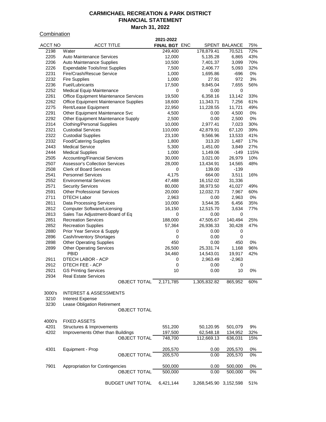**Combination** 

| <u>UUINININIUUI</u> |                                                        | 2021-2022          |                        |                    |          |
|---------------------|--------------------------------------------------------|--------------------|------------------------|--------------------|----------|
| <b>ACCT NO</b>      | <b>ACCT TITLE</b>                                      | FINAL BGT ENC      |                        | SPENT BALANCE      | 75%      |
| 2198                | Water                                                  | 249,400            | 178,879.41             | 70,521             | 72%      |
| 2205                | <b>Auto Maintenance Services</b>                       | 12,000             | 5,135.28               | 6,865              | 43%      |
| 2206                | <b>Auto Maintenance Supplies</b>                       | 10,500             | 7,401.37               | 3,099              | 70%      |
| 2226                | <b>Expendable Tools/Inst Supplies</b>                  | 7,500              | 2,406.77               | 5,093              | 32%      |
| 2231                | Fire/Crash/Rescue Service                              | 1,000              | 1,695.86               | -696               | 0%       |
| 2232                | <b>Fire Supplies</b>                                   | 1,000              | 27.91                  | 972                | 3%       |
| 2236                | Fuel/Lubricants                                        | 17,500             | 9,845.04               | 7,655              | 56%      |
| 2252                | <b>Medical Equip Maintenance</b>                       | 0                  | 0.00                   | 0                  |          |
| 2261                | <b>Office Equipment Maintenance Services</b>           | 19,500             | 6,358.16               | 13,142             | 33%      |
| 2262                | Office Equipment Maintenance Supplies                  | 18,600             | 11,343.71              | 7,256              | 61%      |
| 2275                | Rent/Lease Equipment                                   | 22,950             | 11,228.55              | 11,721             | 49%      |
| 2291                | Other Equipment Maintenance Svc                        | 4,500              | 0.00                   | 4,500              | 0%       |
| 2292                | Other Equipment Maintenance Supply                     | 2,500              | 0.00                   | 2,500              | 0%       |
| 2314                | <b>Clothing/Personal Supplies</b>                      | 10,000             | 2,977.41               | 7,023              | 30%      |
| 2321                | <b>Custodial Services</b>                              | 110,000            | 42,879.91              | 67,120             | 39%      |
| 2322                | <b>Custodial Supplies</b>                              | 23,100             | 9,566.96               | 13,533             | 41%      |
| 2332                | <b>Food/Catering Supplies</b>                          | 1,800              | 313.20                 | 1,487              | 17%      |
| 2443                | <b>Medical Service</b>                                 | 5,300              | 1,451.00               | 3,849              | 27%      |
| 2444                | <b>Medical Supplies</b>                                | 1,000              | 1,149.06               | $-149$             | 115%     |
| 2505                | <b>Accounting/Financial Services</b>                   | 30,000             | 3,021.00               | 26,979             | 10%      |
| 2507                | <b>Assessor's Collection Services</b>                  | 28,000             | 13,434.91              | 14,565             | 48%      |
| 2508                | <b>Clerk of Board Services</b>                         | 0                  | 139.00                 | -139               |          |
| 2541                | <b>Personnel Services</b>                              | 4,175              | 664.00                 | 3,511              | 16%      |
| 2552                | <b>Environmental Services</b>                          | 47,488             | 16,152.02              | 31,336             |          |
| 2571                | <b>Security Services</b>                               | 80,000             | 38,973.50              | 41,027             | 49%      |
| 2591                | <b>Other Professional Services</b>                     | 20,000             | 12,032.73              | 7,967              | 60%      |
| 2711                | <b>DTECH Labor</b>                                     | 2,963              | 0.00                   | 2,963              | 0%       |
| 2811                | <b>Data Processing Services</b>                        | 10,000             | 3,544.35               | 6,456              | 35%      |
| 2812                | <b>Computer Software/Licensing</b>                     | 16,150             | 12,515.70              | 3,634              | 77%      |
| 2813                | Sales Tax Adjustment-Board of Eq                       | 0                  | 0.00                   | 0                  |          |
| 2851                | <b>Recreation Services</b>                             | 188,000            | 47,505.67              | 140,494            | 25%      |
| 2852                | <b>Recreation Supplies</b>                             | 57,364             | 26,936.33              | 30,428             | 47%      |
| 2880                | Prior Year Service & Supply                            | 0                  | 0.00                   | 0                  |          |
| 2896                | Cash/Inventory Shortages                               | 0                  | 0.00                   | 0                  |          |
| 2898                | <b>Other Operating Supplies</b>                        | 450                | 0.00                   | 450                | 0%       |
| 2899                | <b>Other Operating Services</b>                        | 26,500             | 25,331.74              | 1,168              | 96%      |
|                     | <b>PBID</b>                                            | 34,460             | 14,543.01              | 19,917             | 42%      |
| 2911                | DTECH LABOR - ACP                                      | 0                  | 2,963.49               | $-2,963$           |          |
| 2912                | DTECH FEE - ACP                                        | 0                  | 0.00                   | 0                  |          |
| 2921                | <b>GS Printing Services</b>                            | 10                 | 0.00                   | 10                 | 0%       |
| 2934                | <b>Real Estate Services</b>                            |                    |                        |                    |          |
|                     | OBJECT TOTAL                                           | 2,171,785          | 1,305,832.82           | 865,952            | 60%      |
| 3000's              | <b>INTEREST &amp; ASSESSMENTS</b>                      |                    |                        |                    |          |
| 3210                | <b>Interest Expense</b>                                |                    |                        |                    |          |
| 3230                | Lease Obligation Retirement                            |                    |                        |                    |          |
|                     | <b>OBJECT TOTAL</b>                                    |                    |                        |                    |          |
|                     |                                                        |                    |                        |                    |          |
| 4000's              | <b>FIXED ASSETS</b>                                    |                    |                        |                    |          |
| 4201                | Structures & Improvements                              | 551,200            | 50,120.95              | 501,079            | 9%       |
| 4202                | Improvements Other than Buildings                      | 197,500            | 62,548.18              | 134,952            | 32%      |
|                     | <b>OBJECT TOTAL</b>                                    | 748,700            | 112,669.13             | 636,031            | 15%      |
| 4301                | Equipment - Prop                                       | 205,570            | 0.00                   | 205,570            | 0%       |
|                     | <b>OBJECT TOTAL</b>                                    | 205,570            | 0.00                   | 205,570            | 0%       |
|                     |                                                        |                    |                        |                    |          |
| 7901                | Appropriation for Contingencies<br><b>OBJECT TOTAL</b> | 500,000<br>500,000 | 0.00<br>0.00           | 500,000<br>500,000 | 0%<br>0% |
|                     |                                                        |                    |                        |                    |          |
|                     | <b>BUDGET UNIT TOTAL</b>                               | 6,421,144          | 3,268,545.90 3,152,598 |                    | 51%      |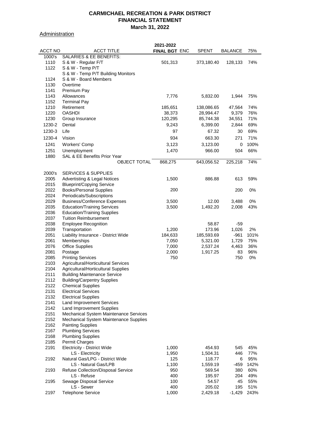**Administration** 

|                |                                         | 2021-2022     |              |                |      |
|----------------|-----------------------------------------|---------------|--------------|----------------|------|
| <b>ACCT NO</b> | <b>ACCT TITLE</b>                       | FINAL BGT ENC | <b>SPENT</b> | <b>BALANCE</b> | 75%  |
| 1000's         | SALARIES & EE BENEFITS:                 |               |              |                |      |
| 1110           | S & W - Regular F/T                     | 501,313       | 373,180.40   | 128,133        | 74%  |
| 1122           | S & W - Temp P/T                        |               |              |                |      |
|                | S & W - Temp P/T Building Monitors      |               |              |                |      |
| 1124           | S & W - Board Members                   |               |              |                |      |
| 1130           | Overtime                                |               |              |                |      |
| 1141           | Premium Pay                             |               |              |                |      |
| 1143           | Allowances                              | 7,776         | 5,832.00     | 1,944          | 75%  |
| 1152           | <b>Terminal Pay</b>                     |               |              |                |      |
| 1210           | Retirement                              | 185,651       | 138,086.65   | 47,564         | 74%  |
| 1220           | <b>OASHDI</b>                           | 38,373        | 28,994.47    | 9,379          | 76%  |
| 1230           | Group Insurance                         | 120,295       | 85,744.38    | 34,551         | 71%  |
| 1230-2         | Dental                                  | 9,243         | 6,399.00     | 2,844          | 69%  |
| 1230-3         | Life                                    | 97            | 67.32        | 30             | 69%  |
|                |                                         |               |              |                |      |
| 1230-4         | Vision                                  | 934           | 663.30       | 271            | 71%  |
| 1241           | Workers' Comp                           | 3,123         | 3,123.00     | 0              | 100% |
| 1251           | Unemployment                            | 1,470         | 966.00       | 504            | 66%  |
| 1880           | <b>SAL &amp; EE Benefits Prior Year</b> |               |              |                |      |
|                | <b>OBJECT TOTAL</b>                     | 868,275       | 643,056.52   | 225,218        | 74%  |
|                |                                         |               |              |                |      |
| 2000's         | <b>SERVICES &amp; SUPPLIES</b>          |               |              |                |      |
| 2005           | <b>Advertisting &amp; Legal Notices</b> | 1,500         | 886.88       | 613            | 59%  |
| 2015           | <b>Blueprint/Copying Service</b>        |               |              |                |      |
| 2022           | <b>Books/Personal Supplies</b>          | 200           |              | 200            | 0%   |
| 2024           | Periodicals/Subscriptions               |               |              |                |      |
| 2029           | <b>Business/Conference Expenses</b>     | 3,500         | 12.00        | 3,488          | 0%   |
| 2035           | <b>Education/Training Services</b>      | 3,500         | 1,492.20     | 2,008          | 43%  |
| 2036           | <b>Education/Training Supplies</b>      |               |              |                |      |
| 2037           | <b>Tuition Reimbursement</b>            |               |              |                |      |
| 2038           | <b>Employee Recognition</b>             |               | 58.87        | -59            |      |
| 2039           | Transportation                          | 1,200         | 173.96       | 1,026          | 2%   |
| 2051           | Liability Insurance - District Wide     | 184,633       | 185,593.69   | -961           | 101% |
| 2061           | Memberships                             | 7,050         | 5,321.00     | 1,729          | 75%  |
| 2076           | <b>Office Supplies</b>                  | 7,000         | 2,537.24     | 4,463          | 36%  |
| 2081           | Postage                                 | 2,000         | 1,917.25     | 83             | 96%  |
| 2085           | <b>Printing Services</b>                | 750           |              | 750            | 0%   |
| 2103           | Agricultural/Horticultural Services     |               |              |                |      |
| 2104           | Agricultural/Horticultural Supplies     |               |              |                |      |
| 2111           | <b>Building Maintenance Service</b>     |               |              |                |      |
| 2112           | <b>Building/Carpentry Supplies</b>      |               |              |                |      |
| 2122           | <b>Chemical Supplies</b>                |               |              |                |      |
| 2131           | <b>Electrical Services</b>              |               |              |                |      |
| 2132           | <b>Electrical Supplies</b>              |               |              |                |      |
| 2141           | <b>Land Improvement Services</b>        |               |              |                |      |
| 2142           | <b>Land Improvement Supplies</b>        |               |              |                |      |
| 2151           | Mechanical System Maintenance Services  |               |              |                |      |
| 2152           | Mechanical System Maintenance Supplies  |               |              |                |      |
| 2162           | <b>Painting Supplies</b>                |               |              |                |      |
| 2167           | <b>Plumbing Services</b>                |               |              |                |      |
| 2168           | <b>Plumbing Supplies</b>                |               |              |                |      |
| 2185           | Permit Charges                          |               |              |                |      |
| 2191           | <b>Electricity - District Wide</b>      | 1,000         | 454.93       | 545            | 45%  |
|                | LS - Electricity                        | 1,950         | 1,504.31     | 446            | 77%  |
| 2192           | Natural Gas/LPG - District Wide         | 125           | 118.77       | 6              | 95%  |
|                | LS - Natural Gas/LPB                    | 1,100         | 1,559.19     | -459           | 142% |
| 2193           | Refuse Collection/Disposal Service      | 950           | 569.54       | 380            | 60%  |
|                | LS - Refuse                             | 400           | 195.97       | 204            | 49%  |
| 2195           | Sewage Disposal Service                 | 100           | 54.57        | 45             | 55%  |
|                | LS - Sewer                              | 400           | 205.02       | 195            | 51%  |
| 2197           | <b>Telephone Service</b>                | 1,000         | 2,429.18     | $-1,429$       | 243% |
|                |                                         |               |              |                |      |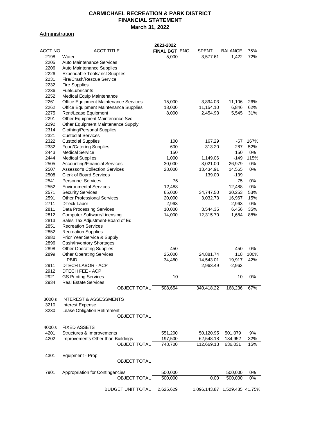#### **Administration**

|         |                                       | 2021-2022     |              |                  |      |
|---------|---------------------------------------|---------------|--------------|------------------|------|
| ACCT NO | <b>ACCT TITLE</b>                     | FINAL BGT ENC | <b>SPENT</b> | BALANCE          | 75%  |
| 2198    | Water                                 | 5,000         | 3,577.61     | 1,422            | 72%  |
| 2205    | <b>Auto Maintenance Services</b>      |               |              |                  |      |
| 2206    | Auto Maintenance Supplies             |               |              |                  |      |
| 2226    | <b>Expendable Tools/Inst Supplies</b> |               |              |                  |      |
| 2231    | Fire/Crash/Rescue Service             |               |              |                  |      |
|         |                                       |               |              |                  |      |
| 2232    | <b>Fire Supplies</b>                  |               |              |                  |      |
| 2236    | Fuel/Lubricants                       |               |              |                  |      |
| 2252    | <b>Medical Equip Maintenance</b>      |               |              |                  |      |
| 2261    | Office Equipment Maintenance Services | 15,000        | 3,894.03     | 11,106           | 26%  |
| 2262    | Office Equipment Maintenance Supplies | 18,000        | 11,154.10    | 6,846            | 62%  |
| 2275    | Rent/Lease Equipment                  | 8,000         | 2,454.93     | 5,545            | 31%  |
| 2291    | Other Equipment Maintenance Svc       |               |              |                  |      |
| 2292    | Other Equipment Maintenance Supply    |               |              |                  |      |
| 2314    | <b>Clothing/Personal Supplies</b>     |               |              |                  |      |
| 2321    | <b>Custodial Services</b>             |               |              |                  |      |
| 2322    |                                       |               | 167.29       |                  |      |
|         | <b>Custodial Supplies</b>             | 100           |              | -67              | 167% |
| 2332    | <b>Food/Catering Supplies</b>         | 600           | 313.20       | 287              | 52%  |
| 2443    | <b>Medical Service</b>                | 150           |              | 150              | 0%   |
| 2444    | <b>Medical Supplies</b>               | 1,000         | 1,149.06     | $-149$           | 115% |
| 2505    | <b>Accounting/Financial Services</b>  | 30,000        | 3,021.00     | 26,979           | 0%   |
| 2507    | <b>Assessor's Collection Services</b> | 28,000        | 13,434.91    | 14,565           | 0%   |
| 2508    | <b>Clerk of Board Services</b>        |               | 139.00       | -139             |      |
| 2541    | <b>Personnel Services</b>             | 75            |              | 75               | 0%   |
| 2552    | <b>Environmental Services</b>         | 12,488        |              | 12,488           | 0%   |
| 2571    | <b>Security Services</b>              | 65,000        | 34,747.50    | 30,253           | 53%  |
|         |                                       |               |              |                  |      |
| 2591    | <b>Other Professional Services</b>    | 20,000        | 3,032.73     | 16,967           | 15%  |
| 2711    | DTeck Labor                           | 2,963         |              | 2,963            | 0%   |
| 2811    | <b>Data Processing Services</b>       | 10,000        | 3,544.35     | 6,456            | 35%  |
| 2812    | <b>Computer Software/Licensing</b>    | 14,000        | 12,315.70    | 1,684            | 88%  |
| 2813    | Sales Tax Adjustment-Board of Eq      |               |              |                  |      |
| 2851    | <b>Recreation Services</b>            |               |              |                  |      |
| 2852    | <b>Recreation Supplies</b>            |               |              |                  |      |
| 2880    | Prior Year Service & Supply           |               |              |                  |      |
| 2896    | Cash/Inventory Shortages              |               |              |                  |      |
| 2898    | <b>Other Operating Supplies</b>       | 450           |              | 450              | 0%   |
|         |                                       |               |              |                  | 100% |
| 2899    | <b>Other Operating Services</b>       | 25,000        | 24,881.74    | 118              |      |
|         | <b>PBID</b>                           | 34,460        | 14,543.01    | 19,917           | 42%  |
| 2911    | DTECH LABOR - ACP                     |               | 2,963.49     | $-2,963$         |      |
| 2912    | <b>DTECH FEE - ACP</b>                |               |              |                  |      |
| 2921    | <b>GS Printing Services</b>           | 10            |              | 10               | 0%   |
| 2934    | <b>Real Estate Services</b>           |               |              |                  |      |
|         | <b>OBJECT TOTAL</b>                   | 508,654       | 340,418.22   | 168,236          | 67%  |
|         |                                       |               |              |                  |      |
| 3000's  | <b>INTEREST &amp; ASSESSMENTS</b>     |               |              |                  |      |
| 3210    | <b>Interest Expense</b>               |               |              |                  |      |
| 3230    | Lease Obligation Retirement           |               |              |                  |      |
|         |                                       |               |              |                  |      |
|         | OBJECT TOTAL                          |               |              |                  |      |
|         |                                       |               |              |                  |      |
| 4000's  | <b>FIXED ASSETS</b>                   |               |              |                  |      |
| 4201    | Structures & Improvements             | 551,200       | 50,120.95    | 501,079          | 9%   |
| 4202    | Improvements Other than Buildings     | 197,500       | 62,548.18    | 134,952          | 32%  |
|         | <b>OBJECT TOTAL</b>                   | 748,700       | 112,669.13   | 636,031          | 15%  |
|         |                                       |               |              |                  |      |
| 4301    | Equipment - Prop                      |               |              |                  |      |
|         | <b>OBJECT TOTAL</b>                   |               |              |                  |      |
|         |                                       |               |              |                  |      |
| 7901    | Appropriation for Contingencies       | 500,000       |              | 500,000          | 0%   |
|         |                                       |               |              |                  |      |
|         | <b>OBJECT TOTAL</b>                   | 500,000       | 0.00         | 500,000          | 0%   |
|         |                                       |               |              |                  |      |
|         | <b>BUDGET UNIT TOTAL</b>              | 2,625,629     | 1,096,143.87 | 1,529,485 41.75% |      |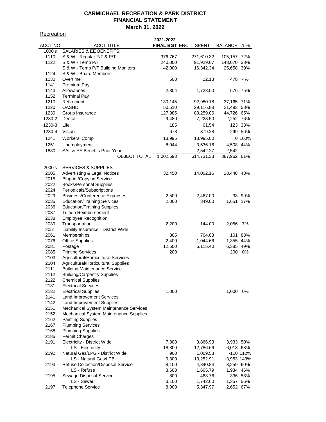#### **Recreation**

|         |                                         | 2021-2022            |            |               |           |
|---------|-----------------------------------------|----------------------|------------|---------------|-----------|
| ACCT NO | <b>ACCT TITLE</b>                       | <b>FINAL BGT ENC</b> | SPENT      | BALANCE 75%   |           |
| 1000's  | SALARIES & EE BENEFITS:                 |                      |            |               |           |
| 1110    | S & W - Regular F/T & P/T               | 376,767              | 271,610.32 | 105,157 72%   |           |
| 1122    | S & W - Temp P/T                        | 240,000              | 91,929.67  | 148,070 38%   |           |
|         | S & W - Temp P/T Building Monitors      | 42,000               | 16,342.34  | 25,658 39%    |           |
| 1124    | S & W - Board Members                   |                      |            |               |           |
|         | Overtime                                |                      |            |               | 4%        |
| 1130    |                                         | 500                  | 22.13      | 478           |           |
| 1141    | Premium Pay                             |                      |            |               |           |
| 1143    | Allowances                              | 2,304                | 1,728.00   |               | 576 75%   |
| 1152    | <b>Terminal Pay</b>                     |                      |            |               |           |
| 1210    | Retirement                              | 130,145              | 92,980.18  | 37,165 71%    |           |
| 1220    | <b>OASHDI</b>                           | 50,610               | 29,116.88  | 21,493 58%    |           |
| 1230    | Group Insurance                         | 127,985              | 83,259.06  | 44,726 65%    |           |
| 1230-2  | Dental                                  | 9,480                | 7,228.50   | 2,252 76%     |           |
| 1230-3  | Life                                    | 185                  | 61.54      |               | 123 33%   |
| 1230-4  | Vision                                  | 678                  |            |               |           |
|         |                                         |                      | 379.28     |               | 299 56%   |
| 1241    | Workers' Comp                           | 13,995               | 13,995.00  |               | 0 100%    |
| 1251    | Unemployment                            | 8,044                | 3,536.16   | 4,508 44%     |           |
| 1880    | SAL & EE Benefits Prior Year            |                      | 2,542.27   | $-2,542$      |           |
|         | OBJECT TOTAL                            | 1,002,693            | 614,731.33 | 387,962 61%   |           |
|         |                                         |                      |            |               |           |
| 2000's  | <b>SERVICES &amp; SUPPLIES</b>          |                      |            |               |           |
|         |                                         |                      |            |               |           |
| 2005    | <b>Advertisting &amp; Legal Notices</b> | 32,450               | 14,002.16  | 18,448 43%    |           |
| 2015    | <b>Bluprint/Copying Service</b>         |                      |            |               |           |
| 2022    | <b>Books/Personal Supplies</b>          |                      |            |               |           |
| 2024    | Periodicals/Subscriptions               |                      |            |               |           |
| 2029    | <b>Business/Conference Expenses</b>     | 2,500                | 2,467.00   |               | 33 99%    |
| 2035    | <b>Education/Training Services</b>      | 2,000                | 349.00     | 1,651 17%     |           |
| 2036    | <b>Education/Training Supplies</b>      |                      |            |               |           |
| 2037    | <b>Tuition Reimbursement</b>            |                      |            |               |           |
| 2038    | <b>Employee Recognition</b>             |                      |            |               |           |
| 2039    | Transportation                          | 2,200                | 144.00     | 2,056         | 7%        |
| 2051    | Liability Insurance - District Wide     |                      |            |               |           |
|         |                                         |                      |            |               | 88%       |
| 2061    | Memberships                             | 865                  | 764.03     | 101           |           |
| 2076    | <b>Office Supplies</b>                  | 2,400                | 1,044.66   | 1,355 44%     |           |
| 2081    | Postage                                 | 12,500               | 6,115.40   | 6,385 49%     |           |
| 2085    | <b>Printing Services</b>                | 200                  |            | 200           | 0%        |
| 2103    | Agricultural/Horticultural Services     |                      |            |               |           |
| 2104    | Agricultural/Horticultural Supplies     |                      |            |               |           |
| 2111    | <b>Building Maintenance Service</b>     |                      |            |               |           |
| 2112    | <b>Building/Carpentry Supplies</b>      |                      |            |               |           |
| 2122    | <b>Chemical Supplies</b>                |                      |            |               |           |
| 2131    | <b>Electrical Services</b>              |                      |            |               |           |
| 2132    | <b>Electrical Supplies</b>              | 1,000                |            | 1,000         | 0%        |
| 2141    |                                         |                      |            |               |           |
|         | <b>Land Improvement Services</b>        |                      |            |               |           |
| 2142    | Land Improvement Supplies               |                      |            |               |           |
| 2151    | Mechanical System Maintenance Services  |                      |            |               |           |
| 2152    | Mechanical System Maintenance Supplies  |                      |            |               |           |
| 2162    | <b>Painting Supplies</b>                |                      |            |               |           |
| 2167    | <b>Plumbing Services</b>                |                      |            |               |           |
| 2168    | <b>Plumbing Supplies</b>                |                      |            |               |           |
| 2185    | Permit Charges                          |                      |            |               |           |
| 2191    | Electricity - District Wide             | 7,800                | 3,866.93   | 3,933 50%     |           |
|         | LS - Electricity                        | 18,800               | 12,786.66  | 6,013 68%     |           |
| 2192    | Natural Gas/LPG - District Wide         | 900                  |            |               | -110 112% |
|         |                                         |                      | 1,009.58   |               |           |
|         | LS - Natural Gas/LPB                    | 9,300                | 13,252.91  | $-3,953$ 143% |           |
| 2193    | Refuse Collection/Disposal Service      | 8,100                | 4,840.84   | 3,259 60%     |           |
|         | LS - Refuse                             | 3,600                | 1,665.79   | 1,934 46%     |           |
| 2195    | Sewage Disposal Service                 | 800                  | 463.76     |               | 336 58%   |
|         | LS - Sewer                              | 3,100                | 1,742.60   | 1,357 56%     |           |
| 2197    | <b>Telephone Service</b>                | 8,000                | 5,347.97   | 2,652 67%     |           |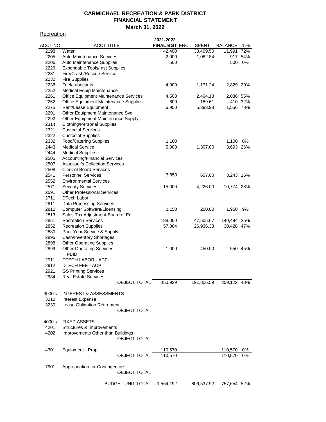**Recreation** 

|                |                                       | 2021-2022            |              |             |         |
|----------------|---------------------------------------|----------------------|--------------|-------------|---------|
| <b>ACCT NO</b> | ACCT TITLE                            | <b>FINAL BGT ENC</b> | <b>SPENT</b> | BALANCE 75% |         |
| 2198           | Water                                 | 42,400               | 30,409.50    | 11,991      | 72%     |
| 2205           | <b>Auto Maintenance Services</b>      | 2,000                | 1,082.84     |             | 917 54% |
| 2206           | Auto Maintenance Supplies             | 500                  |              | 500         | 0%      |
| 2226           | Expendable Tools/Inst Supplies        |                      |              |             |         |
|                |                                       |                      |              |             |         |
| 2231           | Fire/Crash/Rescue Service             |                      |              |             |         |
| 2232           | <b>Fire Supplies</b>                  |                      |              |             |         |
| 2236           | Fuel/Lubricants                       | 4,000                | 1,171.24     | 2,829 29%   |         |
| 2252           | <b>Medical Equip Maintenance</b>      |                      |              |             |         |
| 2261           | Office Equipment Maintenance Services | 4,500                | 2,464.13     | 2,036 55%   |         |
| 2262           | Office Equipment Maintenance Supplies | 600                  | 189.61       |             | 410 32% |
| 2275           | Rent/Lease Equipment                  | 6,950                | 5,393.98     | 1,556 78%   |         |
| 2291           | Other Equipment Maintenance Svc       |                      |              |             |         |
| 2292           | Other Equipment Maintenance Supply    |                      |              |             |         |
| 2314           | <b>Clothing/Personal Supplies</b>     |                      |              |             |         |
| 2321           | <b>Custodial Services</b>             |                      |              |             |         |
| 2322           | <b>Custodial Supplies</b>             |                      |              |             |         |
| 2332           | <b>Food/Catering Supplies</b>         | 1,100                |              | 1,100       | 0%      |
| 2443           | <b>Medical Service</b>                | 5,000                | 1,307.00     | 3,693 26%   |         |
| 2444           |                                       |                      |              |             |         |
|                | <b>Medical Supplies</b>               |                      |              |             |         |
| 2505           | <b>Accounting/Financial Services</b>  |                      |              |             |         |
| 2507           | <b>Assessor's Collection Services</b> |                      |              |             |         |
| 2508           | <b>Clerk of Board Services</b>        |                      |              |             |         |
| 2541           | <b>Personnel Services</b>             | 3,850                | 607.00       | 3,243 16%   |         |
| 2552           | <b>Environmental Services</b>         |                      |              |             |         |
| 2571           | <b>Security Services</b>              | 15,000               | 4,226.00     | 10,774 28%  |         |
| 2591           | <b>Other Professional Services</b>    |                      |              |             |         |
| 2711           | DTech Labor                           |                      |              |             |         |
| 2811           | <b>Data Processing Services</b>       |                      |              |             |         |
| 2812           | <b>Computer Software/Licensing</b>    | 2,150                | 200.00       | 1,950       | 9%      |
| 2813           | Sales Tax Adjustment-Board of Eq      |                      |              |             |         |
| 2851           | <b>Recreation Services</b>            | 188,000              | 47,505.67    | 140,494 25% |         |
| 2852           | <b>Recreation Supplies</b>            | 57,364               | 26,936.33    | 30,428 47%  |         |
| 2880           | Prior Year Service & Supply           |                      |              |             |         |
|                |                                       |                      |              |             |         |
| 2896           | Cash/Inventory Shortages              |                      |              |             |         |
| 2898           | <b>Other Operating Supplies</b>       |                      |              |             |         |
| 2899           | <b>Other Operating Services</b>       | 1,000                | 450.00       |             | 550 45% |
|                | <b>PBID</b>                           |                      |              |             |         |
| 2911           | DTECH LABOR - ACP                     |                      |              |             |         |
| 2912           | DTECH FEE - ACP                       |                      |              |             |         |
| 2921           | <b>GS Printing Services</b>           |                      |              |             |         |
| 2934           | <b>Real Estate Services</b>           |                      |              |             |         |
|                | <b>OBJECT TOTAL</b>                   | 450,929              | 191,806.59   | 259,122 43% |         |
|                |                                       |                      |              |             |         |
| 3000's         | <b>INTEREST &amp; ASSESSMENTS</b>     |                      |              |             |         |
| 3210           | <b>Interest Expense</b>               |                      |              |             |         |
| 3230           | Lease Obligation Retirement           |                      |              |             |         |
|                | <b>OBJECT TOTAL</b>                   |                      |              |             |         |
|                |                                       |                      |              |             |         |
| 4000's         | <b>FIXED ASSETS</b>                   |                      |              |             |         |
| 4201           | Structures & Improvements             |                      |              |             |         |
| 4202           | Improvements Other than Buildings     |                      |              |             |         |
|                | <b>OBJECT TOTAL</b>                   |                      |              |             |         |
|                |                                       |                      |              |             |         |
|                |                                       |                      |              |             |         |
| 4301           | Equipment - Prop                      | 110,570              |              | 110,570     | 0%      |
|                | <b>OBJECT TOTAL</b>                   | 110,570              |              | 110,570     | 0%      |
|                |                                       |                      |              |             |         |
| 7901           | Appropriation for Contingencies       |                      |              |             |         |
|                | <b>OBJECT TOTAL</b>                   |                      |              |             |         |
|                |                                       |                      |              |             |         |
|                | <b>BUDGET UNIT TOTAL</b>              | 1,564,192            | 806,537.92   | 757,654 52% |         |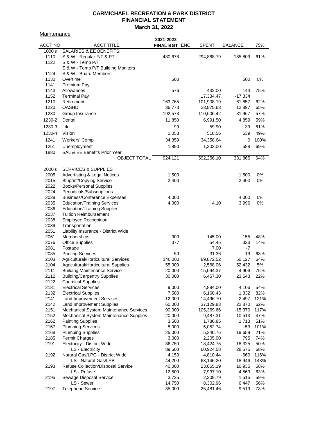**Maintenance** 

|                |                                               | 2021-2022            |              |                |      |
|----------------|-----------------------------------------------|----------------------|--------------|----------------|------|
| <b>ACCT NO</b> | <b>ACCT TITLE</b>                             | <b>FINAL BGT ENC</b> | <b>SPENT</b> | <b>BALANCE</b> | 75%  |
| 1000's         | <b>SALARIES &amp; EE BENEFITS:</b>            |                      |              |                |      |
| 1110           | S & W - Regular F/T & PT                      | 480,678              | 294,868.79   | 185,809        | 61%  |
| 1122           | S & W - Temp P/T                              |                      |              |                |      |
|                | S & W - Temp P/T Building Monitors            |                      |              |                |      |
| 1124           | S & W - Board Members                         |                      |              |                |      |
| 1130           | Overtime                                      | 500                  |              | 500            | 0%   |
| 1141           | Premium Pay                                   |                      |              |                |      |
| 1143           | Allowances                                    | 576                  | 432.00       | 144            | 75%  |
| 1152           | <b>Terminal Pay</b>                           |                      | 17,334.47    | $-17,334$      |      |
| 1210           | Retirement                                    | 163,765              | 101,908.19   | 61,857         | 62%  |
| 1220           | <b>OASHDI</b>                                 | 36,773               | 23,875.63    | 12,897         | 65%  |
| 1230           | Group Insurance                               | 192,573              | 110,606.42   | 81,967         | 57%  |
| 1230-2         | Dental                                        | 11,850               | 6,991.50     | 4,859          | 59%  |
| 1230-3         | Life                                          | 99                   | 59.90        | 39             | 61%  |
| 1230-4         | Vision                                        | 1,058                | 518.56       | 539            | 49%  |
|                |                                               |                      |              |                |      |
| 1241           | Workers' Comp                                 | 34,359               | 34,358.64    | 0              | 100% |
| 1251           | Unemployment                                  | 1,890                | 1,302.00     | 588            | 69%  |
| 1880           | SAL & EE Benefits Prior Year                  |                      |              |                |      |
|                | <b>OBJECT TOTAL</b>                           | 924,121              | 592,256.10   | 331,865        | 64%  |
|                |                                               |                      |              |                |      |
| 2000's         | <b>SERVICES &amp; SUPPLIES</b>                |                      |              |                |      |
| 2005           | Advertisting & Legal Notices                  | 1,500                |              | 1,500          | 0%   |
| 2015           | <b>Bluprint/Copying Service</b>               | 2,400                |              | 2,400          | 0%   |
| 2022           | <b>Books/Personal Supplies</b>                |                      |              |                |      |
| 2024           | Periodicals/Subscriptions                     |                      |              |                |      |
| 2029           | <b>Business/Conference Expenses</b>           | 4,000                |              | 4,000          | 0%   |
| 2035           | <b>Education/Training Services</b>            | 4,000                | 4.10         | 3,996          | 0%   |
| 2036           | <b>Education/Training Supplies</b>            |                      |              |                |      |
| 2037           | <b>Tuition Reimbursement</b>                  |                      |              |                |      |
| 2038           | <b>Employee Recognition</b>                   |                      |              |                |      |
| 2039           | Transportation                                |                      |              |                |      |
| 2051           | Liability Insurance - District Wide           |                      |              |                |      |
| 2061           | Memberships                                   | 300                  | 145.00       | 155            | 48%  |
| 2076           | <b>Office Supplies</b>                        | 377                  | 54.45        | 323            | 14%  |
| 2081           | Postage                                       |                      | 7.00         | -7             |      |
| 2085           | <b>Printing Services</b>                      | 50                   | 31.36        | 19             | 63%  |
| 2103           | Agricultural/Horticultural Services           | 140,000              | 89,872.52    | 50,127         | 64%  |
| 2104           | Agricultural/Horticultural Supplies           | 55,000               | 2,568.06     | 52,432         | 5%   |
| 2111           | <b>Building Maintenance Service</b>           | 20,000               | 15,094.37    | 4,906          | 75%  |
| 2112           | <b>Building/Carpentry Supplies</b>            | 30,000               | 6,457.30     | 23,543         | 22%  |
| 2122           | <b>Chemical Supplies</b>                      |                      |              |                |      |
| 2131           | <b>Electrical Services</b>                    | 9,000                | 4,894.00     | 4,106          | 54%  |
| 2132           | <b>Electrical Supplies</b>                    | 7,500                | 6,168.43     | 1,332          | 82%  |
| 2141           | Land Improvement Services                     | 12,000               | 14,496.70    | $-2,497$       | 121% |
| 2142           | Land Improvement Supplies                     | 60,000               | 37,129.83    | 22,870         | 62%  |
| 2151           | Mechanical System Maintenance Services        | 90,000               | 105,369.66   | $-15,370$      | 117% |
| 2152           | <b>Mechanical System Maintenance Supplies</b> | 20,000               | 9,487.31     | 10,513         | 47%  |
| 2162           | <b>Painting Supplies</b>                      | 3,500                | 1,786.85     | 1,713          | 51%  |
| 2167           | <b>Plumbing Services</b>                      | 5,000                | 5,052.74     | $-53$          | 101% |
| 2168           | <b>Plumbing Supplies</b>                      | 25,000               | 5,340.76     | 19,659         | 21%  |
| 2185           | Permit Charges                                | 3,000                | 2,205.00     | 795            | 74%  |
| 2191           | Electricity - District Wide                   | 36,750               | 18,424.75    | 18,325         | 50%  |
|                | LS - Electricity                              | 89,500               | 60,924.58    | 28,575         | 68%  |
| 2192           | Natural Gas/LPG - District Wide               | 4,150                | 4,810.44     | $-660$         | 116% |
|                | LS - Natural Gas/LPB                          | 44,200               | 63,146.20    | $-18,946$      | 143% |
| 2193           | Refuse Collection/Disposal Service            | 40,000               | 23,065.19    | 16,935         | 58%  |
|                | LS - Refuse                                   | 12,500               | 7,937.10     | 4,563          | 63%  |
| 2195           | Sewage Disposal Service                       | 3,725                | 2,209.79     | 1,515          | 59%  |
|                | LS - Sewer                                    | 14,750               | 8,302.96     | 6,447          | 56%  |
| 2197           | <b>Telephone Service</b>                      | 35,000               | 25,481.46    | 9,519          | 73%  |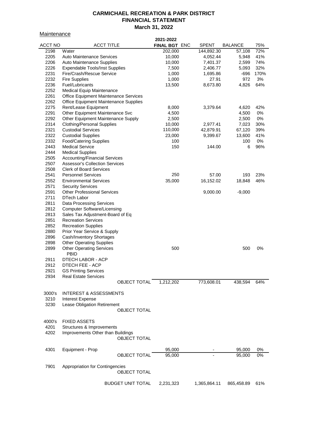**Maintenance** 

| <u><u>Mallituditud</u></u> |                                              |                          | 2021-2022     |              |                |      |
|----------------------------|----------------------------------------------|--------------------------|---------------|--------------|----------------|------|
| <b>ACCT NO</b>             | <b>ACCT TITLE</b>                            |                          | FINAL BGT ENC | <b>SPENT</b> | <b>BALANCE</b> | 75%  |
| 2198                       | Water                                        |                          | 202,000       | 144,892.30   | 57,108         | 72%  |
| 2205                       | <b>Auto Maintenance Services</b>             |                          | 10,000        | 4,052.44     | 5,948          | 41%  |
| 2206                       | Auto Maintenance Supplies                    |                          | 10,000        | 7,401.37     | 2,599          | 74%  |
| 2226                       | <b>Expendable Tools/Inst Supplies</b>        |                          | 7,500         | 2,406.77     | 5,093          | 32%  |
| 2231                       | Fire/Crash/Rescue Service                    |                          | 1,000         | 1,695.86     | -696           | 170% |
| 2232                       | <b>Fire Supplies</b>                         |                          | 1,000         | 27.91        | 972            | 3%   |
| 2236                       | Fuel/Lubricants                              |                          | 13,500        | 8,673.80     | 4,826          | 64%  |
| 2252                       | Medical Equip Maintenance                    |                          |               |              |                |      |
| 2261                       | <b>Office Equipment Maintenance Services</b> |                          |               |              |                |      |
| 2262                       | <b>Office Equipment Maintenance Supplies</b> |                          |               |              |                |      |
| 2275                       | Rent/Lease Equipment                         |                          | 8,000         | 3,379.64     | 4,620          | 42%  |
| 2291                       | Other Equipment Maintenance Svc              |                          | 4,500         |              | 4,500          | 0%   |
| 2292                       | Other Equipment Maintenance Supply           |                          | 2,500         |              | 2,500          | 0%   |
| 2314                       | <b>Clothing/Personal Supplies</b>            |                          | 10,000        | 2,977.41     | 7,023          | 30%  |
| 2321                       | <b>Custodial Services</b>                    |                          | 110,000       | 42,879.91    | 67,120         | 39%  |
| 2322                       | <b>Custodial Supplies</b>                    |                          | 23,000        | 9,399.67     | 13,600         | 41%  |
| 2332                       | <b>Food/Catering Supplies</b>                |                          | 100           |              | 100            | 0%   |
| 2443                       | <b>Medical Service</b>                       |                          | 150           | 144.00       | 6              | 96%  |
| 2444                       | <b>Medical Supplies</b>                      |                          |               |              |                |      |
| 2505                       | <b>Accounting/Financial Services</b>         |                          |               |              |                |      |
| 2507                       | <b>Assessor's Collection Services</b>        |                          |               |              |                |      |
| 2508                       | <b>Clerk of Board Services</b>               |                          |               |              |                |      |
| 2541                       | <b>Personnel Services</b>                    |                          | 250           | 57.00        | 193            | 23%  |
| 2552                       | <b>Environmental Services</b>                |                          | 35,000        | 16,152.02    | 18,848         | 46%  |
| 2571                       | <b>Security Services</b>                     |                          |               |              |                |      |
| 2591                       | <b>Other Professional Services</b>           |                          |               | 9,000.00     | $-9,000$       |      |
| 2711                       | <b>DTech Labor</b>                           |                          |               |              |                |      |
| 2811                       | <b>Data Processing Services</b>              |                          |               |              |                |      |
| 2812                       | <b>Computer Software/Licensing</b>           |                          |               |              |                |      |
| 2813                       | Sales Tax Adjustment-Board of Eq             |                          |               |              |                |      |
| 2851                       | <b>Recreation Services</b>                   |                          |               |              |                |      |
| 2852                       | <b>Recreation Supplies</b>                   |                          |               |              |                |      |
| 2880                       | Prior Year Service & Supply                  |                          |               |              |                |      |
| 2896                       | Cash/Inventory Shortages                     |                          |               |              |                |      |
| 2898                       | <b>Other Operating Supplies</b>              |                          |               |              |                |      |
| 2899                       | <b>Other Operating Services</b>              |                          | 500           |              | 500            | 0%   |
|                            | <b>PBID</b>                                  |                          |               |              |                |      |
| 2911                       | DTECH LABOR - ACP                            |                          |               |              |                |      |
| 2912                       | DTECH FEE - ACP                              |                          |               |              |                |      |
| 2921                       | <b>GS Printing Services</b>                  |                          |               |              |                |      |
| 2934                       | <b>Real Estate Services</b>                  |                          |               |              |                |      |
|                            |                                              | <b>OBJECT TOTAL</b>      | 1,212,202     | 773,608.01   | 438,594        | 64%  |
|                            |                                              |                          |               |              |                |      |
| 3000's                     | <b>INTEREST &amp; ASSESSMENTS</b>            |                          |               |              |                |      |
| 3210                       | <b>Interest Expense</b>                      |                          |               |              |                |      |
| 3230                       | Lease Obligation Retirement                  |                          |               |              |                |      |
|                            |                                              | <b>OBJECT TOTAL</b>      |               |              |                |      |
|                            |                                              |                          |               |              |                |      |
| 4000's                     | <b>FIXED ASSETS</b>                          |                          |               |              |                |      |
| 4201                       | Structures & Improvements                    |                          |               |              |                |      |
| 4202                       | Improvements Other than Buildings            |                          |               |              |                |      |
|                            |                                              | <b>OBJECT TOTAL</b>      |               |              |                |      |
|                            |                                              |                          |               |              |                |      |
| 4301                       | Equipment - Prop                             |                          | 95,000        |              | 95,000         | 0%   |
|                            |                                              | <b>OBJECT TOTAL</b>      | 95,000        |              | 95,000         | 0%   |
|                            |                                              |                          |               |              |                |      |
| 7901                       | Appropriation for Contingencies              |                          |               |              |                |      |
|                            |                                              | <b>OBJECT TOTAL</b>      |               |              |                |      |
|                            |                                              |                          |               |              |                |      |
|                            |                                              | <b>BUDGET UNIT TOTAL</b> | 2,231,323     | 1,365,864.11 | 865,458.89     | 61%  |
|                            |                                              |                          |               |              |                |      |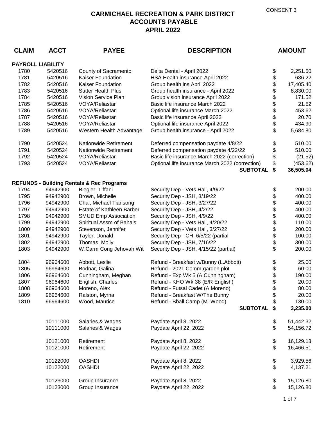| <b>CLAIM</b>             | <b>ACCT</b> | <b>PAYEE</b>                                         | <b>DESCRIPTION</b>                                                 |          | <b>AMOUNT</b>         |
|--------------------------|-------------|------------------------------------------------------|--------------------------------------------------------------------|----------|-----------------------|
| <b>PAYROLL LIABILITY</b> |             |                                                      |                                                                    |          |                       |
| 1780                     | 5420516     | County of Sacramento                                 | Delta Dental - April 2022                                          | \$       | 2,251.50              |
| 1781                     | 5420516     | <b>Kaiser Foundation</b>                             | HSA Health insurance April 2022                                    | \$       | 686.22                |
| 1782                     | 5420516     | Kaiser Foundation                                    | Group health ins April 2022                                        | \$       | 17,405.40             |
| 1783                     | 5420516     | <b>Sutter Health Plus</b>                            | Group health insurance - April 2022                                | \$       | 8,830.00              |
| 1784                     | 5420516     | Vision Service Plan                                  | Group vision insurance April 2022                                  | \$       | 171.52                |
| 1785                     | 5420516     | <b>VOYA/Reliastar</b>                                | Basic life insurance March 2022                                    | \$       | 21.52                 |
| 1786                     | 5420516     | <b>VOYA/Reliastar</b>                                | Optional life insurance March 2022                                 | \$       | 453.62                |
| 1787                     | 5420516     | <b>VOYA/Reliastar</b>                                | Basic life insurance April 2022                                    |          | 20.70                 |
| 1788                     | 5420516     | <b>VOYA/Reliastar</b>                                | Optional life insurance April 2022                                 | \$<br>\$ | 434.90                |
| 1789                     | 5420516     | Western Health Advantage                             | Group health insurance - April 2022                                | \$       | 5,684.80              |
| 1790                     | 5420524     | <b>Nationwide Retirement</b>                         | Deferred compensation paydate 4/8/22                               | \$       | 510.00                |
| 1791                     | 5420524     | <b>Nationwide Retirement</b>                         | Deferred compensation paydate 4/22/22                              | \$       | 510.00                |
| 1792                     | 5420524     | <b>VOYA/Reliastar</b>                                | Basic life insurance March 2022 (correction)                       | \$       | (21.52)               |
| 1793                     | 5420524     | <b>VOYA/Reliastar</b>                                | Optional life insurance March 2022 (correction)<br><b>SUBTOTAL</b> | \$<br>\$ | (453.62)<br>36,505.04 |
|                          |             |                                                      |                                                                    |          |                       |
|                          |             | <b>REFUNDS - Building Rentals &amp; Rec Programs</b> |                                                                    |          |                       |
| 1794                     | 94942900    | Biegler, Tiffani                                     | Security Dep - Vets Hall, 4/9/22                                   | \$       | 200.00                |
| 1795                     | 94942900    | Brown, Michelle                                      | Security Dep - JSH, 3/19/22                                        | \$       | 400.00                |
| 1796                     | 94942900    | Chai, Michael Tiansong                               | Security Dep - JSH, 3/27/22                                        | \$       | 400.00                |
| 1797                     | 94942900    | Estate of Kathleen Barber                            | Security Dep - JSH, 4/2/22                                         | \$       | 400.00                |
| 1798                     | 94942900    | <b>SMUD Emp Association</b>                          | Security Dep - JSH, 4/9/22                                         | \$       | 400.00                |
| 1799                     | 94942900    | Spiritual Assm of Bahais                             | Security Dep - Vets Hall, 4/20/22                                  | \$       | 110.00                |
| 1800                     | 94942900    | Stevenson, Jennifer                                  | Security Dep - Vets Hall, 3/27/22                                  | \$<br>\$ | 200.00<br>100.00      |
| 1801<br>1802             | 94942900    | Taylor, Donald<br>Thomas, Molly                      | Security Dep - CH, 6/5/22 (partial                                 | \$       | 300.00                |
|                          | 94942900    |                                                      | Security Dep - JSH, 7/16/22                                        | \$       |                       |
| 1803                     | 94942900    | W.Carm Cong Jehovah Wit                              | Security Dep - JSH, 4/15/22 (partial)                              |          | 200.00                |
| 1804                     | 96964600    | Abbott, Leslie                                       | Refund - Breakfast w/Bunny (L.Abbott)                              | \$       | 25.00                 |
| 1805                     | 96964600    | Bodnar, Galina                                       | Refund - 2021 Comm garden plot                                     | \$       | 60.00                 |
| 1806                     | 96964600    | Cunningham, Meghan                                   | Refund - Exp Wk 5 (A.Cunningham)                                   | \$       | 190.00                |
| 1807                     | 96964600    | English, Charles                                     | Refund - KHO Wk 38 (E/R English)                                   | \$       | 20.00                 |
| 1808                     | 96964600    | Moreno, Alex                                         | Refund - Futsal Cadet (A.Moreno)                                   | \$       | 80.00                 |
| 1809                     | 96964600    | Ralston, Myrna                                       | Refund - Breakfast W/The Bunny                                     | \$       | 20.00                 |
| 1810                     | 96964600    | Wood, Maurice                                        | Refund - Bball Camp (M. Wood)                                      | \$       | 130.00                |
|                          |             |                                                      | <b>SUBTOTAL</b>                                                    | \$       | 3,235.00              |
|                          | 10111000    | Salaries & Wages                                     | Paydate April 8, 2022                                              | \$       | 51,442.32             |
|                          | 10111000    | Salaries & Wages                                     | Paydate April 22, 2022                                             | \$       | 54,156.72             |
|                          | 10121000    | Retirement                                           | Paydate April 8, 2022                                              | \$       | 16,129.13             |
|                          | 10121000    | Retirement                                           | Paydate April 22, 2022                                             | \$       | 16,466.51             |
|                          | 10122000    | <b>OASHDI</b>                                        | Paydate April 8, 2022                                              | \$       | 3,929.56              |
|                          | 10122000    | <b>OASHDI</b>                                        | Paydate April 22, 2022                                             | \$       | 4,137.21              |
|                          | 10123000    | Group Insurance                                      | Paydate April 8, 2022                                              | \$       | 15,126.80             |
|                          | 10123000    | Group Insurance                                      | Paydate April 22, 2022                                             | \$       | 15,126.80             |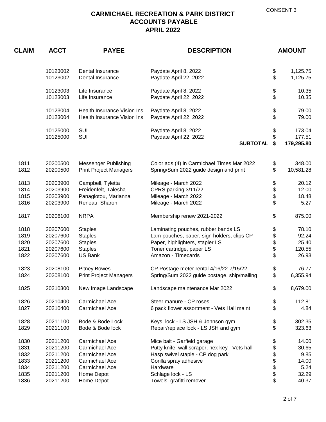| <b>CLAIM</b> | <b>ACCT</b>          | <b>PAYEE</b><br><b>DESCRIPTION</b>                         |                                                 | <b>AMOUNT</b> |                |
|--------------|----------------------|------------------------------------------------------------|-------------------------------------------------|---------------|----------------|
|              | 10123002             | Dental Insurance                                           | Paydate April 8, 2022                           | \$            | 1,125.75       |
|              | 10123002             | Dental Insurance                                           | Paydate April 22, 2022                          | \$            | 1,125.75       |
|              | 10123003<br>10123003 | Life Insurance<br>Life Insurance                           | Paydate April 8, 2022<br>Paydate April 22, 2022 | \$<br>\$      | 10.35<br>10.35 |
|              |                      |                                                            |                                                 |               |                |
|              | 10123004<br>10123004 | Health Insurance Vision Ins<br>Health Insurance Vision Ins | Paydate April 8, 2022<br>Paydate April 22, 2022 | \$<br>\$      | 79.00<br>79.00 |
|              | 10125000             | <b>SUI</b>                                                 | Paydate April 8, 2022                           | \$            | 173.04         |
|              | 10125000             | SUI                                                        | Paydate April 22, 2022                          | \$            | 177.51         |
|              |                      |                                                            | <b>SUBTOTAL</b>                                 | \$            | 179,295.80     |
| 1811         | 20200500             | <b>Messenger Publishing</b>                                | Color ads (4) in Carmichael Times Mar 2022      | \$            | 348.00         |
| 1812         | 20200500             | <b>Print Project Managers</b>                              | Spring/Sum 2022 guide design and print          | \$            | 10,581.28      |
| 1813         | 20203900             | Campbell, Tyletta                                          | Mileage - March 2022                            | \$            | 20.12          |
| 1814         | 20203900             | Freidenfelt, Talesha                                       | CPRS parking 3/11/22                            |               | 12.00          |
| 1815         | 20203900             | Panagiotou, Marianna                                       | Mileage - March 2022                            | \$<br>\$      | 18.48          |
| 1816         | 20203900             | Reneau, Sharon                                             | Mileage - March 2022                            | \$            | 5.27           |
| 1817         | 20206100             | <b>NRPA</b>                                                | Membership renew 2021-2022                      | \$            | 875.00         |
| 1818         | 20207600             | <b>Staples</b>                                             | Laminating pouches, rubber bands LS             | \$            | 78.10          |
| 1819         | 20207600             | <b>Staples</b>                                             | Lam pouches, paper, sign holders, clips CP      | \$            | 92.24          |
| 1820         | 20207600             | <b>Staples</b>                                             | Paper, highlighters, stapler LS                 | \$            | 25.40          |
| 1821         | 20207600             | <b>Staples</b>                                             | Toner cartridge, paper LS                       | \$            | 120.55         |
| 1822         | 20207600             | US Bank                                                    | Amazon - Timecards                              | \$            | 26.93          |
| 1823         | 20208100             | <b>Pitney Bowes</b>                                        | CP Postage meter rental 4/16/22-7/15/22         | \$            | 76.77          |
| 1824         | 20208100             | <b>Print Project Managers</b>                              | Spring/Sum 2022 guide postage, ship/mailing     | \$            | 6,355.94       |
| 1825         | 20210300             | New Image Landscape                                        | Landscape maintenance Mar 2022                  | \$            | 8,679.00       |
| 1826         | 20210400             | Carmichael Ace                                             | Steer manure - CP roses                         | \$            | 112.81         |
| 1827         | 20210400             | Carmichael Ace                                             | 6 pack flower assortment - Vets Hall maint      | \$            | 4.84           |
| 1828         | 20211100             | Bode & Bode Lock                                           | Keys, lock - LS JSH & Johnson gym               | \$            | 302.35         |
| 1829         | 20211100             | Bode & Bode lock                                           | Repair/replace lock - LS JSH and gym            | \$            | 323.63         |
| 1830         | 20211200             | Carmichael Ace                                             | Mice bait - Garfield garage                     | \$            | 14.00          |
| 1831         | 20211200             | Carmichael Ace                                             | Putty knife, wall scraper, hex key - Vets hall  | \$            | 30.65          |
| 1832         | 20211200             | Carmichael Ace                                             | Hasp swivel staple - CP dog park                | \$            | 9.85           |
| 1833         | 20211200             | Carmichael Ace                                             | Gorilla spray adhesive                          | \$            | 14.00          |
| 1834         | 20211200             | Carmichael Ace                                             | Hardware                                        | \$            | 5.24           |
| 1835         | 20211200             | Home Depot                                                 | Schlage lock - LS                               | \$            | 32.29          |
| 1836         | 20211200             | Home Depot                                                 | Towels, grafitti remover                        | \$            | 40.37          |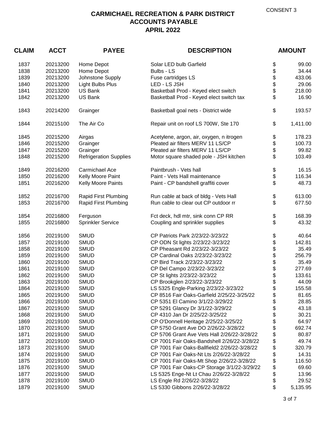| <b>CLAIM</b><br><b>ACCT</b> |          | <b>PAYEE</b>                  | <b>DESCRIPTION</b>                           |    | <b>AMOUNT</b> |  |
|-----------------------------|----------|-------------------------------|----------------------------------------------|----|---------------|--|
| 1837                        | 20213200 | Home Depot                    | Solar LED bulb Garfield                      | \$ | 99.00         |  |
| 1838                        | 20213200 | Home Depot                    | Bulbs - LS                                   | \$ | 34.44         |  |
| 1839                        | 20213200 | Johnstone Supply              | Fuse cartridges LS                           | \$ | 433.06        |  |
| 1840                        | 20213200 | <b>Light Bulbs Plus</b>       | LED - LS JSH                                 | \$ | 29.06         |  |
| 1841                        | 20213200 | US Bank                       | Basketball Prod - Keyed elect switch         | \$ | 218.00        |  |
| 1842                        | 20213200 | <b>US Bank</b>                | Basketball Prod - Keyed elect switch tax     | \$ | 16.90         |  |
| 1843                        | 20214200 | Grainger                      | Basketball goal nets - District wide         | \$ | 193.57        |  |
| 1844                        | 20215100 | The Air Co                    | Repair unit on roof LS 700W, Ste 170         | \$ | 1,411.00      |  |
| 1845                        | 20215200 | Airgas                        | Acetylene, argon, air, oxygen, n itrogen     | \$ | 178.23        |  |
| 1846                        | 20215200 | Grainger                      | Pleated air filters MERV 11 LS/CP            | \$ | 100.73        |  |
| 1847                        | 20215200 | Grainger                      | Pleated air filters MERV 11 LS/CP            | \$ | 99.82         |  |
| 1848                        | 20215200 | <b>Refrigeration Supplies</b> | Motor square shaded pole - JSH kitchen       | \$ | 103.49        |  |
| 1849                        | 20216200 | Carmichael Ace                | Paintbrush - Vets hall                       | \$ | 16.15         |  |
| 1850                        | 20216200 | Kelly Moore Paint             | Paint - Vets Hall maintenance                | \$ | 116.34        |  |
| 1851                        | 20216200 | Kelly Moore Paints            | Paint - CP bandshell graffiti cover          | \$ | 48.73         |  |
| 1852                        | 20216700 | Rapid First Plumbing          | Run cable at back of bldg - Vets Hall        | \$ | 613.00        |  |
| 1853                        | 20216700 | Rapid First Plumbing          | Run cable to clear out CP outdoor rr         | \$ | 677.50        |  |
| 1854                        | 20216800 | Ferguson                      | Fct deck, hdl mtr, sink conn CP RR           | \$ | 168.39        |  |
| 1855                        | 20216800 | <b>Sprinkler Service</b>      | Coupling and sprinkler supplies              | \$ | 43.32         |  |
| 1856                        | 20219100 | <b>SMUD</b>                   | CP Patriots Park 2/23/22-3/23/22             | \$ | 40.64         |  |
| 1857                        | 20219100 | <b>SMUD</b>                   | CP ODN St lights 2/23/22-3/23/22             | \$ | 142.81        |  |
| 1858                        | 20219100 | <b>SMUD</b>                   | CP Pheasant Rd 2/23/22-3/23/22               | \$ | 35.49         |  |
| 1859                        | 20219100 | <b>SMUD</b>                   | CP Cardinal Oaks 2/23/22-3/23/22             | \$ | 256.79        |  |
| 1860                        | 20219100 | <b>SMUD</b>                   | CP Bird Track 2/23/22-3/23/22                | \$ | 35.49         |  |
| 1861                        | 20219100 | <b>SMUD</b>                   | CP Del Campo 2/23/22-3/23/22                 | \$ | 277.69        |  |
| 1862                        | 20219100 | <b>SMUD</b>                   | CP St lights 2/23/22-3/23/22                 | \$ | 133.61        |  |
| 1863                        | 20219100 | <b>SMUD</b>                   | CP Brookglen 2/23/22-3/23/22                 | \$ | 44.09         |  |
| 1864                        | 20219100 | <b>SMUD</b>                   | LS 5325 Engle-Parking 2/23/22-3/23/22        | \$ | 155.58        |  |
| 1865                        | 20219100 | <b>SMUD</b>                   | CP 8516 Fair Oaks-Garfield 2/25/22-3/25/22   | \$ | 81.65         |  |
| 1866                        | 20219100 | <b>SMUD</b>                   | CP 5351 El Camino 3/1/22-3/29/22             | \$ | 28.85         |  |
| 1867                        | 20219100 | <b>SMUD</b>                   | CP 5291 Glancy Dr 3/1/22-3/29/22             | \$ | 43.18         |  |
| 1868                        | 20219100 | <b>SMUD</b>                   | CP 4310 Jan Dr 2/25/22-3/25/22               | \$ | 30.21         |  |
| 1869                        | 20219100 | <b>SMUD</b>                   | CP O'Donnell Heritage 2/25/22-3/25/22        | \$ | 64.97         |  |
| 1870                        | 20219100 | <b>SMUD</b>                   | CP 5750 Grant Ave DO 2/26/22-3/28/22         | \$ | 692.74        |  |
| 1871                        | 20219100 | <b>SMUD</b>                   | CP 5706 Grant Ave Vets Hall 2/26/22-3/28/22  | \$ | 80.87         |  |
| 1872                        | 20219100 | <b>SMUD</b>                   | CP 7001 Fair Oaks-Bandshell 2/26/22-3/28/22  | \$ | 49.74         |  |
| 1873                        | 20219100 | <b>SMUD</b>                   | CP 7001 Fair Oaks-Ballfield2 2/26/22-3/28/22 | \$ | 320.79        |  |
| 1874                        | 20219100 | <b>SMUD</b>                   | CP 7001 Fair Oaks-Nt Lts 2/26/22-3/28/22     | \$ | 14.31         |  |
| 1875                        | 20219100 | <b>SMUD</b>                   | CP 7001 Fair Oaks-Mt Shop 2/26/22-3/28/22    | \$ | 116.50        |  |
| 1876                        | 20219100 | <b>SMUD</b>                   | CP 7001 Fair Oaks-CP Storage 3/1/22-3/29/22  | \$ | 69.60         |  |
| 1877                        | 20219100 | <b>SMUD</b>                   | LS 5325 Enge-Nt Lt Chau 2/26/22-3/28/22      | \$ | 13.96         |  |
| 1878                        | 20219100 | <b>SMUD</b>                   | LS Engle Rd 2/26/22-3/28/22                  | \$ | 29.52         |  |
| 1879                        | 20219100 | <b>SMUD</b>                   | LS 5330 Gibbons 2/26/22-3/28/22              | \$ | 5,135.95      |  |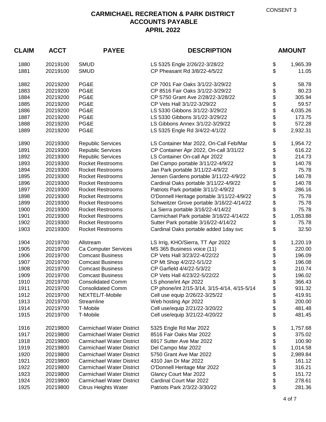| <b>ACCT</b><br><b>CLAIM</b> |                      | <b>PAYEE</b>                     | <b>DESCRIPTION</b>                                               |          | <b>AMOUNT</b>     |  |
|-----------------------------|----------------------|----------------------------------|------------------------------------------------------------------|----------|-------------------|--|
| 1880<br>1881                | 20219100             | <b>SMUD</b><br><b>SMUD</b>       | LS 5325 Engle 2/26/22-3/28/22<br>CP Pheasant Rd 3/8/22-4/5/22    | \$<br>\$ | 1,965.39<br>11.05 |  |
|                             | 20219100             |                                  |                                                                  |          |                   |  |
| 1882                        | 20219200             | PG&E                             | CP 7001 Fair Oaks 3/1/22-3/29/22                                 | \$       | 58.78             |  |
| 1883                        | 20219200             | PG&E                             | CP 8516 Fair Oaks 3/1/22-3/29/22                                 | \$       | 80.23             |  |
| 1884                        | 20219200             | PG&E                             | CP 5750 Grant Ave 2/28/22-3/28/22                                | \$       | 305.94            |  |
| 1885                        | 20219200             | PG&E                             | CP Vets Hall 3/1/22-3/29/22                                      | \$       | 59.57             |  |
| 1886                        | 20219200             | PG&E                             | LS 5330 Gibbons 3/1/22-3/29/22                                   | \$       | 4,035.26          |  |
| 1887                        | 20219200             | PG&E                             | LS 5330 Gibbons 3/1/22-3/29/22                                   | \$       | 173.75            |  |
| 1888                        | 20219200             | PG&E                             | LS Gibbons Annex 3/1/22-3/29/22                                  | \$       | 572.28            |  |
| 1889                        | 20219200             | PG&E                             | LS 5325 Engle Rd 3/4/22-4/1/22                                   | \$       | 2,932.31          |  |
| 1890                        | 20219300             | <b>Republic Services</b>         | LS Container Mar 2022, On-Call Feb/Mar                           | \$       | 1,954.72          |  |
| 1891                        | 20219300             | <b>Republic Services</b>         | CP Container Apr 2022, On-call 3/31/22                           | \$       | 616.22            |  |
| 1892                        | 20219300             | <b>Republic Services</b>         | LS Container On-call Apr 2022                                    | \$       | 214.73            |  |
| 1893                        | 20219300             | <b>Rocket Restrooms</b>          | Del Campo portable 3/11/22-4/9/22                                | \$       | 140.78            |  |
| 1894                        | 20219300             | <b>Rocket Restrooms</b>          | Jan Park portable 3/11/22-4/9/22                                 | \$       | 75.78             |  |
| 1895                        | 20219300             | <b>Rocket Restrooms</b>          | Jensen Gardens portable 3/11/22-4/9/22                           | \$       | 140.78            |  |
| 1896                        | 20219300             | <b>Rocket Restrooms</b>          | Cardinal Oaks portable 3/11/22-4/9/22                            | \$       | 140.78            |  |
| 1897                        | 20219300             | <b>Rocket Restrooms</b>          | Patriots Park portable 3/11/2-4/9/22                             | \$       | 286.16            |  |
| 1898                        | 20219300             | <b>Rocket Restrooms</b>          | O'Donnell Heritage portable 3/11/22-4/9/22                       | \$       | 75.78             |  |
| 1899                        | 20219300             | <b>Rocket Restrooms</b>          | Schweitzer Grove portable 3/16/22-4/14/22                        | \$       | 75.78             |  |
| 1900                        | 20219300             | <b>Rocket Restrooms</b>          | La Sierra portable 3/16/22-4/14/22                               | \$       | 75.78             |  |
| 1901                        | 20219300             | <b>Rocket Restrooms</b>          | Carmichael Park portable 3/16/22-4/14/22                         | \$       | 1,053.88          |  |
| 1902<br>1903                | 20219300             | <b>Rocket Restrooms</b>          | Sutter Park portable 3/16/22-4/14/22                             | \$<br>\$ | 75.78             |  |
|                             | 20219300             | <b>Rocket Restrooms</b>          | Cardinal Oaks portable added 1day svc                            |          | 32.50             |  |
| 1904                        | 20219700             | Allstream                        | LS Irrig, KHO/Sierra, TT Apr 2022                                | \$       | 1,220.19          |  |
| 1905                        | 20219700             | Ca Computer Services             | MS 365 Business voice (11)                                       | \$       | 220.00            |  |
| 1906                        | 20219700             | <b>Comcast Business</b>          | CP Vets Hall 3/23/22-4/22/22                                     | \$       | 196.09            |  |
| 1907                        | 20219700             | <b>Comcast Business</b>          | CP Mt Shop 4/2/22-5/1/22                                         | \$       | 196.08            |  |
| 1908                        | 20219700             | <b>Comcast Business</b>          | CP Garfield 4/4/22-5/3/22                                        | \$       | 210.74            |  |
| 1909                        | 20219700             | <b>Comcast Business</b>          | CP Vets Hall 4/23/22-5/22/22                                     | \$       | 196.02            |  |
| 1910                        | 20219700             | <b>Consolidated Comm</b>         | LS phone/int Apr 2022                                            | \$       | 366.43            |  |
| 1911                        | 20219700             | <b>Consolidated Comm</b>         | CP phone/int 2/15-3/14, 3/15-4/14, 4/15-5/14                     | \$       | 931.32            |  |
| 1912                        | 20219700             | NEXTEL/T-Mobile                  | Cell use equip 2/26/22-3/25/22                                   | \$       | 419.91            |  |
| 1913                        | 20219700             | Streamline                       | Web hosting Apr 2022                                             | \$       | 200.00            |  |
| 1914<br>1915                | 20219700<br>20219700 | T-Mobile<br>T-Mobile             | Cell use/equip 2/21/22-3/20/22<br>Cell use/equip 3/21/22-4/20/22 | \$<br>\$ | 481.48<br>481.45  |  |
|                             |                      |                                  |                                                                  |          |                   |  |
| 1916                        | 20219800             | <b>Carmichael Water District</b> | 5325 Engle Rd Mar 2022                                           | \$       | 1,757.68          |  |
| 1917                        | 20219800             | <b>Carmichael Water District</b> | 8516 Fair Oaks Mar 2022                                          | \$       | 375.02            |  |
| 1918                        | 20219800             | <b>Carmichael Water District</b> | 6917 Sutter Ave Mar 2022                                         | \$       | 100.90            |  |
| 1919                        | 20219800             | <b>Carmichael Water District</b> | Del Campo Mar 2022                                               | \$       | 1,014.58          |  |
| 1920                        | 20219800             | <b>Carmichael Water District</b> | 5750 Grant Ave Mar 2022                                          | \$       | 2,989.84          |  |
| 1921                        | 20219800             | <b>Carmichael Water District</b> | 4310 Jan Dr Mar 2022                                             | \$       | 161.12            |  |
| 1922                        | 20219800             | <b>Carmichael Water District</b> | O'Donnell Heritage Mar 2022                                      | \$       | 316.21            |  |
| 1923                        | 20219800             | <b>Carmichael Water District</b> | Glancy Court Mar 2022                                            | \$       | 151.72            |  |
| 1924                        | 20219800             | <b>Carmichael Water District</b> | Cardinal Court Mar 2022                                          | \$       | 278.61            |  |
| 1925                        | 20219800             | <b>Citrus Heights Water</b>      | Patriots Park 2/3/22-3/30/22                                     | \$       | 281.36            |  |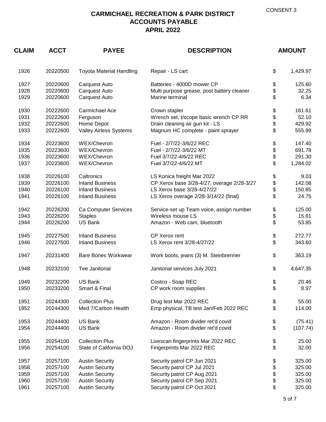| <b>CLAIM</b> | <b>ACCT</b><br><b>PAYEE</b><br><b>DESCRIPTION</b> |                                 | <b>AMOUNT</b>                              |    |          |
|--------------|---------------------------------------------------|---------------------------------|--------------------------------------------|----|----------|
| 1926         | 20220500                                          | <b>Toyota Material Handling</b> | Repair - LS cart                           | \$ | 1,429.97 |
| 1927         | 20220600                                          | Carquest Auto                   | Batteries - 4000D mower CP                 | \$ | 125.60   |
| 1928         | 20220600                                          | Carquest Auto                   | Multi purpose grease, post battery cleaner | \$ | 32.25    |
| 1929         | 20220600                                          | Carquest Auto                   | Marine terminal                            | \$ | 6.34     |
| 1930         | 20222600                                          | Carmichael Ace                  | Crown stapler                              | \$ | 161.61   |
| 1931         | 20222600                                          | Ferguson                        | Wrench set, t/scope basic wrench CP RR     | \$ | 52.10    |
| 1932         | 20222600                                          | Home Depot                      | Drain cleaning air gun kit - LS            | \$ | 429.92   |
| 1933         | 20222600                                          | Valley Airless Systems          | Magnum HC complete - paint sprayer         | \$ | 555.99   |
| 1934         | 20223600                                          | WEX/Chevron                     | Fuel - 2/7/22-3/6/22 REC                   | \$ | 147.40   |
| 1935         | 20223600                                          | WEX/Chevron                     | Fuel - 2/7/22-3/6/22 MT                    | \$ | 691.78   |
| 1936         | 20223600                                          | WEX/Chevron                     | Fuel 3/7/22-4/6/22 REC                     | \$ | 291.30   |
| 1937         | 20223600                                          | WEX/Chevron                     | Fuel 3/7/22-4/6/22 MT                      | \$ | 1,284.02 |
| 1938         | 20226100                                          | Caltronics                      | LS Konica freight Mar 2022                 | \$ | 9.03     |
| 1939         | 20226100                                          | <b>Inland Business</b>          | CP Xerox base 3/28-4/27, overage 2/28-3/27 | \$ | 142.08   |
| 1940         | 20226100                                          | <b>Inland Business</b>          | LS Xerox base 3/28-4/27/22                 | \$ | 150.85   |
| 1941         | 20226100                                          | <b>Inland Business</b>          | LS Xerox overage 2/28-3/14/22 (final)      | \$ | 24.75    |
| 1942         | 20226200                                          | Ca Computer Services            | Service-set up Team voice, assign number   | \$ | 125.00   |
| 1943         | 20226200                                          | <b>Staples</b>                  | Wireless mouse LS                          | \$ | 15.61    |
| 1944         | 20226200                                          | <b>US Bank</b>                  | Amazon - Web cam, bluetooth                | \$ | 53.85    |
| 1945         | 20227500                                          | <b>Inland Business</b>          | CP Xerox rent                              | \$ | 272.77   |
| 1946         | 20227500                                          | <b>Inland Business</b>          | LS Xerox rent 3/28-4/27/22                 | \$ | 343.60   |
| 1947         | 20231400                                          | <b>Bare Bones Workwear</b>      | Work boots, jeans (3) M. Steinbrenner      | \$ | 363.19   |
| 1948         | 20232100                                          | Tee Janitorial                  | Janitorial services July 2021              | \$ | 4,647.35 |
| 1949         | 20232200                                          | <b>US Bank</b>                  | Costco - Soap REC                          | \$ | 20.46    |
| 1950         | 20233200                                          | Smart & Final                   | CP work room supplies                      | \$ | 8.97     |
| 1951         | 20244300                                          | <b>Collection Plus</b>          | Drug test Mar 2022 REC                     | \$ | 55.00    |
| 1952         | 20244300                                          | Med 7/Carbon Health             | Emp physical, TB test Jan/Feb 2022 REC     | \$ | 114.00   |
| 1953         | 20244400                                          | <b>US Bank</b>                  | Amazon - Room divider ret'd covid          | \$ | (75.41)  |
| 1954         | 20244400                                          | US Bank                         | Amazon - Room divider ret'd covid          | \$ | (107.74) |
| 1955         | 20254100                                          | <b>Collection Plus</b>          | Livescan fingerprints Mar 2022 REC         | \$ | 25.00    |
| 1956         | 20254100                                          | State of California DOJ         | Fingerprints Mar 2022 REC                  | \$ | 32.00    |
| 1957         | 20257100                                          | <b>Austin Security</b>          | Security patrol CP Jun 2021                | \$ | 325.00   |
| 1958         | 20257100                                          | <b>Austin Security</b>          | Security patrol CP Jul 2021                | \$ | 325.00   |
| 1959         | 20257100                                          | <b>Austin Security</b>          | Security patrol CP Aug 2021                | \$ | 325.00   |
| 1960         | 20257100                                          | <b>Austin Security</b>          | Security patrol CP Sep 2021                | \$ | 325.00   |
| 1961         | 20257100                                          | <b>Austin Security</b>          | Security patrol CP Oct 2021                | \$ | 325.00   |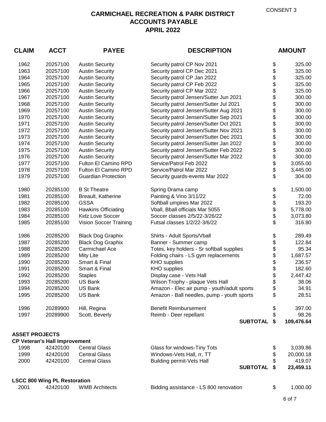| <b>CLAIM</b>          | <b>ACCT</b>                          | <b>PAYEE</b>               | <b>DESCRIPTION</b>                          | <b>AMOUNT</b> |            |
|-----------------------|--------------------------------------|----------------------------|---------------------------------------------|---------------|------------|
| 1962                  | 20257100                             | <b>Austin Security</b>     | Security patrol CP Nov 2021                 | \$            | 325.00     |
| 1963                  | 20257100                             | <b>Austin Security</b>     | Security patrol CP Dec 2021                 | \$            | 325.00     |
| 1964                  | 20257100                             | <b>Austin Security</b>     | Security patrol CP Jan 2022                 | \$            | 325.00     |
| 1965                  | 20257100                             | <b>Austin Security</b>     | Security patrol CP Feb 2022                 | \$            | 325.00     |
| 1966                  | 20257100                             | <b>Austin Security</b>     | Security patrol CP Mar 2022                 | \$            | 325.00     |
| 1967                  | 20257100                             | <b>Austin Security</b>     | Security patrol Jensen/Sutter Jun 2021      | \$            | 300.00     |
| 1968                  | 20257100                             | <b>Austin Security</b>     | Security patrol Jensen/Sutter Jul 2021      | \$            | 300.00     |
| 1969                  | 20257100                             | <b>Austin Security</b>     | Security patrol Jensen/Sutter Aug 2021      | \$            | 300.00     |
| 1970                  | 20257100                             | <b>Austin Security</b>     | Security patrol Jensen/Sutter Sep 2021      | \$            | 300.00     |
| 1971                  | 20257100                             | <b>Austin Security</b>     | Security patrol Jensen/Sutter Oct 2021      | \$            | 300.00     |
| 1972                  | 20257100                             | <b>Austin Security</b>     | Security patrol Jensen/Sutter Nov 2021      | \$            | 300.00     |
| 1973                  | 20257100                             | <b>Austin Security</b>     | Security patrol Jensen/Sutter Dec 2021      | \$            | 300.00     |
| 1974                  | 20257100                             | <b>Austin Security</b>     | Security patrol Jensen/Sutter Jan 2022      | \$            | 300.00     |
| 1975                  | 20257100                             | <b>Austin Security</b>     | Security patrol Jensen/Sutter Feb 2022      | \$            | 300.00     |
| 1976                  | 20257100                             | <b>Austin Security</b>     | Security patrol Jensen/Sutter Mar 2022      |               | 300.00     |
| 1977                  | 20257100                             | Fulton El Camino RPD       | Service/Patrol Feb 2022                     |               | 3,055.00   |
| 1978                  | 20257100                             | Fulton El Camino RPD       | Service/Patrol Mar 2022                     | \$\$          | 3,445.00   |
| 1979                  | 20257100                             | <b>Guardian Protection</b> | Security guards-events Mar 2022             | \$            | 304.00     |
| 1980                  | 20285100                             | <b>B St Theatre</b>        | Spring Drama camp                           | \$            | 1,500.00   |
| 1981                  | 20285100                             | Breault, Katherine         | Painting & Vino 3/11/22                     | \$            | 72.00      |
| 1982                  | 20285100                             | <b>GSSA</b>                | Softball umpires Mar 2022                   | \$            | 193.20     |
| 1983                  | 20285100                             | <b>Hawkins Officiating</b> | Vball, Bball officials Mar 5055             | \$            | 5,778.00   |
| 1984                  | 20285100                             | Kidz Love Soccer           | Soccer classes 2/5/22-3/26/22               | \$            | 3,073.80   |
| 1985                  | 20285100                             | Vision Soccer Training     | Futsal classes 1/2/22-3/6/22                | \$            | 316.80     |
| 1986                  | 20285200                             | <b>Black Dog Graphix</b>   | Shirts - Adult Sports/Vball                 | \$<br>\$      | 289.49     |
| 1987                  | 20285200                             | <b>Black Dog Graphix</b>   | Banner - Summer camp                        |               | 122.84     |
| 1988                  | 20285200                             | Carmichael Ace             | Totes, key holders - Sr softball supplies   |               | 95.34      |
| 1989                  | 20285200                             | Mity Lite                  | Folding chairs - LS gym replacements        |               | 1,687.57   |
| 1990                  | 20285200                             | Smart & Final              | <b>KHO</b> supplies                         |               | 236.57     |
| 1991                  | 20285200                             | Smart & Final              | <b>KHO</b> supplies                         | \$<br>\$      | 182.60     |
| 1992                  | 20285200                             | <b>Staples</b>             | Display case - Vets Hall                    |               | 2,447.42   |
| 1993                  | 20285200                             | <b>US Bank</b>             | Wilson Trophy - plaque Vets Hall            |               | 38.06      |
| 1994                  | 20285200                             | <b>US Bank</b>             | Amazon - Elec air pump - youth/adult sports | \$            | 34.91      |
| 1995                  | 20285200                             | US Bank                    | Amazon - Ball needles, pump - youth sports  | \$            | 28.51      |
| 1996                  | 20289900                             | Hill, Regina               | <b>Benefit Reimbursement</b>                | \$            | 397.00     |
| 1997                  | 20289900                             | Scott, Beverly             | Reimb - Deer repellant                      | \$            | 98.26      |
|                       |                                      |                            | <b>SUBTOTAL</b>                             | \$            | 109,476.64 |
| <b>ASSET PROJECTS</b> |                                      |                            |                                             |               |            |
|                       | <b>CP Veteran's Hall Improvement</b> |                            |                                             |               |            |
| 1998                  | 42420100                             | <b>Central Glass</b>       | Glass for windows-Tiny Tots                 |               | 3,039.86   |
| 1999                  | 42420100                             | <b>Central Glass</b>       | Windows-Vets Hall, rr, TT                   | \$            | 20,000.18  |
| 2000                  | 42420100                             | <b>Central Glass</b>       | <b>Building permit-Vets Hall</b>            |               | 419.07     |
|                       |                                      |                            | <b>SUBTOTAL</b>                             | S             | 23,459.11  |
|                       | <b>LSCC 800 Wing PL Restoration</b>  |                            |                                             |               |            |
| 2001                  | 42420100                             | <b>WMB Architects</b>      | Bidding assistance - LS 800 renovation      | \$            | 1,000.00   |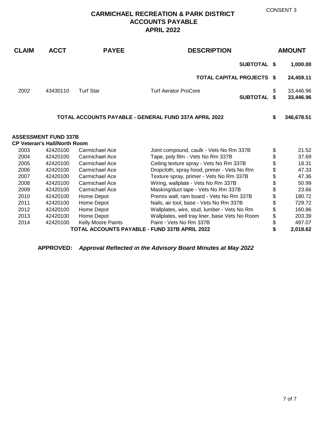## **CARMICHAEL RECREATION & PARK DISTRICT ACCOUNTS PAYABLE APRIL 2022**

| <b>CLAIM</b>                                  | <b>ACCT</b>                         | <b>PAYEE</b>       | <b>DESCRIPTION</b>                                           |         | <b>AMOUNT</b>          |
|-----------------------------------------------|-------------------------------------|--------------------|--------------------------------------------------------------|---------|------------------------|
|                                               |                                     |                    | <b>SUBTOTAL \$</b>                                           |         | 1,000.00               |
|                                               |                                     |                    | <b>TOTAL CAPITAL PROJECTS \$</b>                             |         | 24,459.11              |
| 2002                                          | 43430110                            | <b>Turf Star</b>   | <b>Turf Aerator ProCore</b><br><b>SUBTOTAL</b>               | \$<br>S | 33,446.96<br>33,446.96 |
|                                               |                                     |                    | <b>TOTAL ACCOUNTS PAYABLE - GENERAL FUND 337A APRIL 2022</b> | \$      | 346,678.51             |
|                                               | <b>ASSESSMENT FUND 337B</b>         |                    |                                                              |         |                        |
|                                               | <b>CP Veteran's Hall/North Room</b> |                    |                                                              |         |                        |
| 2003                                          | 42420100                            | Carmichael Ace     | Joint compound, caulk - Vets No Rm 337B                      | \$      | 21.52                  |
| 2004                                          | 42420100                            | Carmichael Ace     | Tape, poly film - Vets No Rm 337B                            | \$      | 37.69                  |
| 2005                                          | 42420100                            | Carmichael Ace     | Ceiling texture spray - Vets No Rm 337B                      | \$      | 18.31                  |
| 2006                                          | 42420100                            | Carmichael Ace     | Dropcloth, spray hood, primer - Vets No Rm                   | \$      | 47.33                  |
| 2007                                          | 42420100                            | Carmichael Ace     | Texture spray, primer - Vets No Rm 337B                      | \$      | 47.36                  |
| 2008                                          | 42420100                            | Carmichael Ace     | Wiring, wallplate - Vets No Rm 337B                          | \$      | 50.99                  |
| 2009                                          | 42420100                            | Carmichael Ace     | Masking/duct tape - Vets No Rm 337B                          | \$      | 23.66                  |
| 2010                                          | 42420100                            | Home Depot         | Premix wall, ram board - Vets No Rm 337B                     | \$      | 180.72                 |
| 2011                                          | 42420100                            | Home Depot         | Nails, air tool, base - Vets No Rm 337B                      | \$      | 729.72                 |
| 2012                                          | 42420100                            | Home Depot         | Wallplates, wire, stud, lumber - Vets No Rm                  | \$      | 160.86                 |
| 2013                                          | 42420100                            | Home Depot         | Wallplates, well tray liner, base Vets No Room               | \$      | 203.39                 |
| 2014                                          | 42420100                            | Kelly Moore Paints | Paint - Vets No Rm 337B                                      | \$      | 497.07                 |
| TOTAL ACCOUNTS PAYABLE - FUND 337B APRIL 2022 |                                     |                    |                                                              |         | 2,018.62               |

**APPROVED:** *Approval Reflected in the Advisory Board Minutes at May 2022*